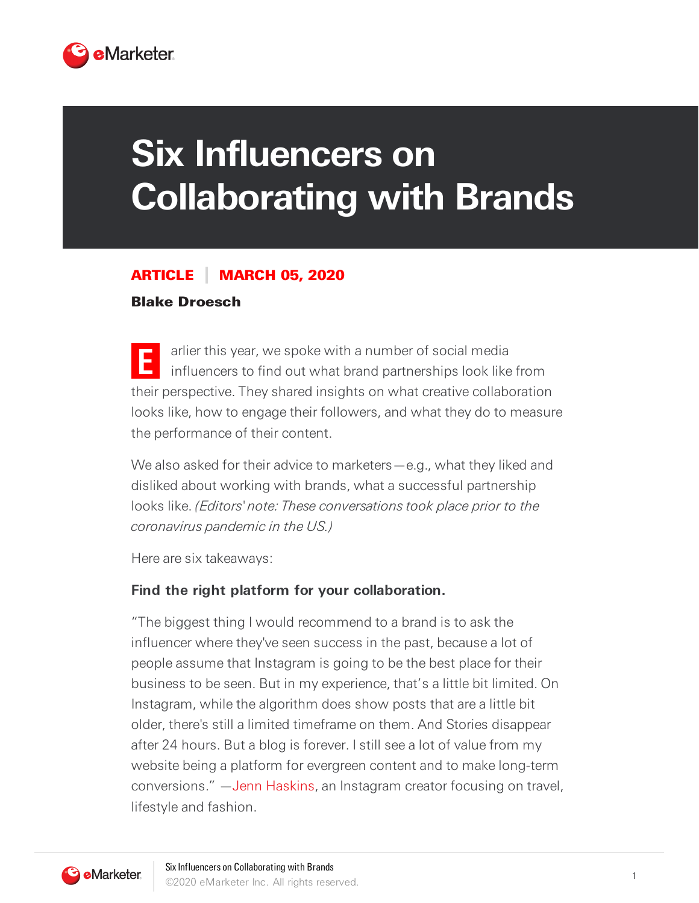

# **Six Influencers on Collaborating with Brands**

#### ARTICLE MARCH 05, 2020

#### Blake Droesch

**E** arlier this year, we spoke with a number of social media influencers to find out what brand partnerships look like from their perspective. They shared insights on what creative collaboration looks like, how to engage their followers, and what they do to measure the performance of their content.

We also asked for their advice to marketers — e.g., what they liked and disliked about working with brands, what a successful partnership looks like. (Editors' note: These conversations took place prior to the coronavirus pandemic in the US.)

Here are six takeaways:

#### **Find the right platform for your collaboration.**

"The biggest thing I would recommend to a brand is to ask the influencer where they've seen success in the past, because a lot of people assume that Instagram is going to be the best place for their business to be seen. But in my experience, that's a little bit limited. On Instagram, while the algorithm does show posts that are a little bit older, there's still a limited timeframe on them. And Stories disappear after 24 hours. But a blog is forever. I still see a lot of value from my website being a platform for evergreen content and to make long-term conversions." —Jenn [Haskins,](https://www.instagram.com/hellorigby/) an Instagram creator focusing on travel, lifestyle and fashion.

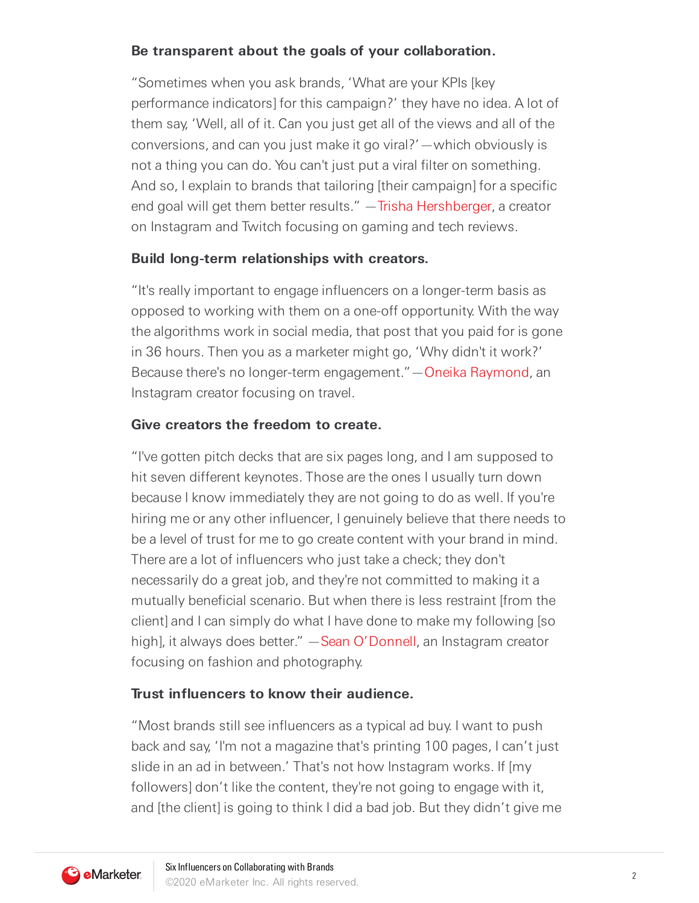## **Be transparent about the goals of your collaboration.**

"Sometimes when you ask brands, 'What are your KPIs [key performance indicators] for this campaign?' they have no idea. A lot of them say, 'Well, all of it. Can you just get all of the views and all of the conversions, and can you just make it go viral?'—which obviously is not a thing you can do. You can't just put a viral filter on something. And so, I explain to brands that tailoring [their campaign] for a specific end goal will get them better results." —Trisha [Hershberger,](https://www.twitch.tv/trishahershberger) a creator on Instagram and Twitch focusing on gaming and tech reviews.

## **Build long-term relationships with creators.**

"It's really important to engage influencers on a longer-term basis as opposed to working with them on a one-off opportunity. With the way the algorithms work in social media, that post that you paid for is gone in 36 hours. Then you as a marketer might go, 'Why didn't it work?' Because there's no longer-term engagement."—Oneika [Raymond,](https://www.instagram.com/oneikatraveller/?hl=en) an Instagram creator focusing on travel.

# **Give creators the freedom to create.**

"I've gotten pitch decks that are six pages long, and I am supposed to hit seven different keynotes. Those are the ones I usually turn down because I know immediately they are not going to do as well. If you're hiring me or any other influencer, I genuinely believe that there needs to be a level of trust for me to go create content with your brand in mind. There are a lot of influencers who just take a check; they don't necessarily do a great job, and they're not committed to making it a mutually beneficial scenario. But when there is less restraint [from the client] and I can simply do what I have done to make my following [so high], it always does better." - Sean [O'Donnell,](https://www.instagram.com/theseanodonnell/) an Instagram creator focusing on fashion and photography.

# **Trust influencers to know their audience.**

"Most brands still see influencers as a typical ad buy. I want to push back and say, 'I'm not a magazine that's printing 100 pages, I can't just slide in an ad in between.' That's not how Instagram works. If [my followers] don't like the content, they're not going to engage with it, and [the client] is going to think I did a bad job. But they didn't give me